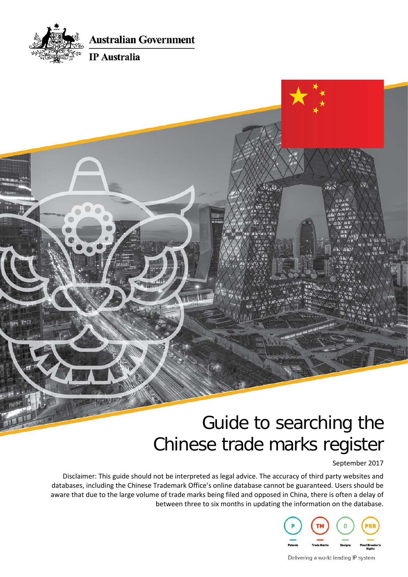

**Australian Government** 

### **IP** Australia

# $\hat{W}_{ab}$

# Guide to searching the Chinese trade marks register

September 2017

Disclaimer: This guide should not be interpreted as legal advice. The accuracy of third party websites and databases, including the Chinese Trademark Office's online database cannot be guaranteed. Users should be aware that due to the large volume of trade marks being filed and opposed in China, there is often a delay of between three to six months in updating the information on the database.



Delivering a world leading IP system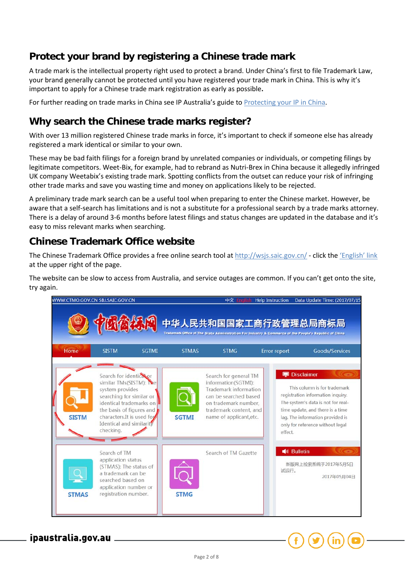# **Protect your brand by registering a Chinese trade mark**

A trade mark is the intellectual property right used to protect a brand. Under China's first to file Trademark Law, your brand generally cannot be protected until you have registered your trade mark in China. This is why it's important to apply for a Chinese trade mark registration as early as possible**.** 

For further reading on trade marks in China see IP Australia's guide to [Protecting your IP in China.](https://ipaustralia.govcms.gov.au/sites/g/files/net856/f/china_ip_101_booklet.pdf)

# **Why search the Chinese trade marks register?**

With over 13 million registered Chinese trade marks in force, it's important to check if someone else has already registered a mark identical or similar to your own.

These may be bad faith filings for a foreign brand by unrelated companies or individuals, or competing filings by legitimate competitors. Weet-Bix, for example, had to rebrand as Nutri-Brex in China because it allegedly infringed UK company Weetabix's existing trade mark. Spotting conflicts from the outset can reduce your risk of infringing other trade marks and save you wasting time and money on applications likely to be rejected.

A preliminary trade mark search can be a useful tool when preparing to enter the Chinese market. However, be aware that a self-search has limitations and is not a substitute for a professional search by a trade marks attorney. There is a delay of around 3-6 months before latest filings and status changes are updated in the database and it's easy to miss relevant marks when searching.

## **Chinese Trademark Office website**

The Chinese Trademark Office provides a free online search tool at<http://wsjs.saic.gov.cn/> - click th[e 'English' link](http://wsjs.saic.gov.cn/txnT01.do?y7bRbp=qmM2MChtlBXTa7E.sxWNpkGcMeS2y5DhFTQso5GMP2MRbVqv9ovnUG7VI1g.P.iziCdOA7niapCosQdiRbqcjgedTsCvi1MBILmaT1z9OH8OAHRAxSYylEx8oZES7H6VyJayEjAE3..vwacp&c1K5tw0w6_=msoVLwLh6sobXm5DXxOMGE___s064K33fnpOSpdKp7NlR_v1HJLStajAcCD6HWdyax8wGKXnVjb4aNpAC4NLPOrsxl68P.7lpV8as0Zk7UWdL1G9EL6KqLcjWI2HQ44HIfdIid6_yaM8wDIk0utIbIUgrsWQCITsY0r9dy2N5xW) at the upper right of the page.

The website can be slow to access from Australia, and service outages are common. If you can't get onto the site, try again.



ipaustralia.gov.au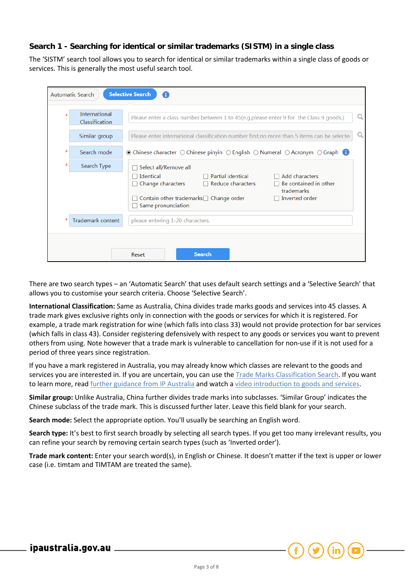### **Search 1 - Searching for identical or similar trademarks (SISTM) in a single class**

The 'SISTM' search tool allows you to search for identical or similar trademarks within a single class of goods or services. This is generally the most useful search tool.

| <b>Selective Search</b><br>A<br><b>Automatic Search</b> |                                 |                                                                                                                                                                                                                                     |  |  |  |  |  |  |
|---------------------------------------------------------|---------------------------------|-------------------------------------------------------------------------------------------------------------------------------------------------------------------------------------------------------------------------------------|--|--|--|--|--|--|
| $\star$                                                 | International<br>Classification | Please enter a class number between 1 to 45(e.g.please enter 9 for the Class 9 goods.)                                                                                                                                              |  |  |  |  |  |  |
|                                                         | Similar group                   | Please enter international classification number first, no more than 5 items can be selected                                                                                                                                        |  |  |  |  |  |  |
| *                                                       | Search mode                     | $\odot$ Chinese character $\odot$ Chinese pinyin $\odot$ English $\odot$ Numeral $\odot$ Acronym $\odot$ Graph $\bigoplus$                                                                                                          |  |  |  |  |  |  |
| *                                                       | Search Type                     | Select all/Remove all                                                                                                                                                                                                               |  |  |  |  |  |  |
|                                                         |                                 | Partial identical<br>Add characters<br>Identical<br>П<br>Be contained in other<br>Reduce characters<br>Change characters<br>trademarks<br>Inverted order<br>Contain other trademarks $\Box$ Change order<br>ш<br>Same pronunciation |  |  |  |  |  |  |
| $\star$                                                 | <b>Trademark content</b>        | please entering 1-20 characters.                                                                                                                                                                                                    |  |  |  |  |  |  |
|                                                         |                                 |                                                                                                                                                                                                                                     |  |  |  |  |  |  |
|                                                         |                                 | <b>Search</b><br>Reset                                                                                                                                                                                                              |  |  |  |  |  |  |

There are two search types – an 'Automatic Search' that uses default search settings and a 'Selective Search' that allows you to customise your search criteria. Choose 'Selective Search'.

**International Classification:** Same as Australia, China divides trade marks goods and services into 45 classes. A trade mark gives exclusive rights only in connection with the goods or services for which it is registered. For example, a trade mark registration for wine (which falls into class 33) would not provide protection for bar services (which falls in class 43). Consider registering defensively with respect to any goods or services you want to prevent others from using. Note however that a trade mark is vulnerable to cancellation for non-use if it is not used for a period of three years since registration.

If you have a mark registered in Australia, you may already know which classes are relevant to the goods and services you are interested in. If you are uncertain, you can use the [Trade Marks Classification Search.](http://xeno.ipaustralia.gov.au/tmgns/facelets/tmgoods.xhtml) If you want to learn more, read [further guidance](https://www.ipaustralia.gov.au/about-us/news-and-community/blog/keep-your-trade-mark-costs-down-classes-goods-and-services) from IP Australia and watch a [video introduction to goods and services.](https://youtu.be/ZrICl6CQKOc)

**Similar group:** Unlike Australia, China further divides trade marks into subclasses. 'Similar Group' indicates the Chinese subclass of the trade mark. This is discussed further later. Leave this field blank for your search.

**Search mode:** Select the appropriate option. You'll usually be searching an English word.

**Search type:** It's best to first search broadly by selecting all search types. If you get too many irrelevant results, you can refine your search by removing certain search types (such as 'Inverted order').

**Trade mark content:** Enter your search word(s), in English or Chinese. It doesn't matter if the text is upper or lower case (i.e. timtam and TIMTAM are treated the same).

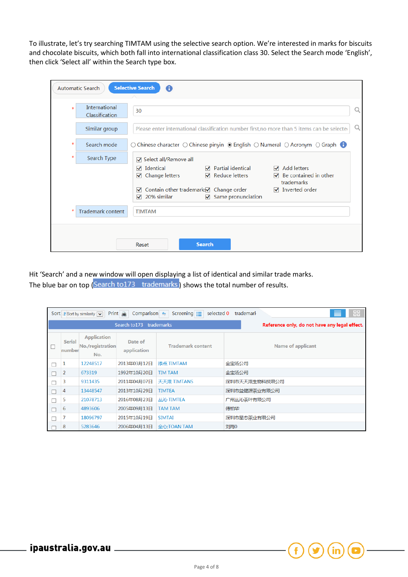To illustrate, let's try searching TIMTAM using the selective search option. We're interested in marks for biscuits and chocolate biscuits, which both fall into international classification class 30. Select the Search mode 'English', then click 'Select all' within the Search type box.

|         | <b>Automatic Search</b>                | <b>Selective Search</b><br>A                                                                                                                                                                                                                                                                                                       |   |  |  |  |  |
|---------|----------------------------------------|------------------------------------------------------------------------------------------------------------------------------------------------------------------------------------------------------------------------------------------------------------------------------------------------------------------------------------|---|--|--|--|--|
| $\star$ | <b>International</b><br>Classification | 30                                                                                                                                                                                                                                                                                                                                 | Q |  |  |  |  |
|         | Similar group                          | Please enter international classification number first, no more than 5 items can be selected                                                                                                                                                                                                                                       | Q |  |  |  |  |
| *       | Search mode                            | $\circlearrowright$ Chinese character $\circlearrowright$ Chinese pinyin $\circlearrowright$ English $\circlearrowright$ Numeral $\circlearrowright$ Acronym $\circlearrowright$ Graph $\bullet$                                                                                                                                   |   |  |  |  |  |
| $\star$ | Search Type                            | $\sqrt{ }$ Select all/Remove all                                                                                                                                                                                                                                                                                                   |   |  |  |  |  |
|         |                                        | $\sqrt{ }$ Add letters<br>Identical<br>$\sqrt{ }$ Partial identical<br>✓<br>Change letters<br>$\blacksquare$ Reduce letters<br>$\triangledown$ Be contained in other<br>✓<br>trademarks<br>Contain other trademarks Change order<br>$\sqrt{ }$ Inverted order<br>$\checkmark$<br>$\sqrt{ }$ Same pronunciation<br>20% similar<br>✓ |   |  |  |  |  |
| *       | <b>Trademark content</b>               | <b>TIMTAM</b>                                                                                                                                                                                                                                                                                                                      |   |  |  |  |  |
|         |                                        | <b>Search</b><br>Reset                                                                                                                                                                                                                                                                                                             |   |  |  |  |  |

Hit 'Search' and a new window will open displaying a list of identical and similar trade marks. The blue bar on top (Search to 173 trademarks) shows the total number of results.

| 88<br>≣<br>$Print \t$<br>Screening $\equiv$<br>selected 0<br>Comparison $\leftarrow$<br>trademark<br>Sort Fort by similarity $\boxed{\smile}$ |                         |                                               |                        |                          |                          |  |  |  |  |
|-----------------------------------------------------------------------------------------------------------------------------------------------|-------------------------|-----------------------------------------------|------------------------|--------------------------|--------------------------|--|--|--|--|
| Search to 173<br>Reference only, do not have any legal effect.<br>trademarks                                                                  |                         |                                               |                        |                          |                          |  |  |  |  |
| П                                                                                                                                             | <b>Serial</b><br>number | <b>Application</b><br>No./registration<br>No. | Date of<br>application | <b>Trademark content</b> | <b>Name of applicant</b> |  |  |  |  |
| Г                                                                                                                                             |                         | 12248517                                      | 2013年03月12日            | 添点 TIMTAM                | 金宝汤公司                    |  |  |  |  |
|                                                                                                                                               | 2                       | 673319                                        | 1992年10月20日            | <b>TIM TAM</b>           | 金宝汤公司                    |  |  |  |  |
|                                                                                                                                               | 3                       | 9311435                                       | 2011年04月07日            | 天天滋 TIMTANS              | 深圳市天天滋生物科技限公司            |  |  |  |  |
|                                                                                                                                               | 4                       | 13448547                                      | 2013年10月29日            | <b>TIMTEA</b>            | 深圳市益健源茶业有限公司             |  |  |  |  |
|                                                                                                                                               | 5                       | 21078713                                      | 2016年08月23日            | 从沁 TIMTEA                | 广州丛沁茶叶有限公司               |  |  |  |  |
|                                                                                                                                               | 6                       | 4893606                                       | 2005年09月13日            | <b>TAM TAM</b>           | 傅柏华                      |  |  |  |  |
|                                                                                                                                               |                         | 18096797                                      | 2015年10月19日            | <b>SIMTAI</b>            | 深圳市星态茶业有限公司              |  |  |  |  |
|                                                                                                                                               | 8                       | 5283646                                       | 2006年04月13日            | 全心;TOAN TAM              | 刘海0                      |  |  |  |  |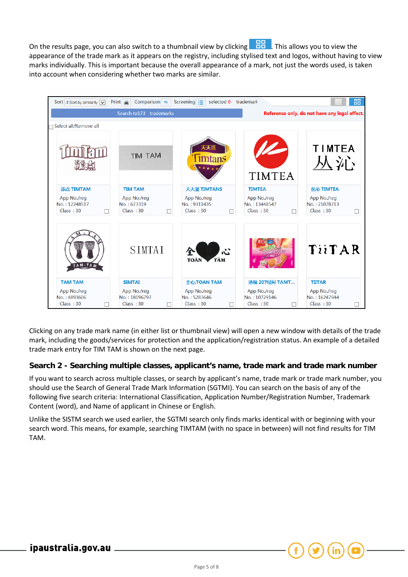On the results page, you can also switch to a thumbnail view by clicking **. But allows** you to view the appearance of the trade mark as it appears on the registry, including stylised text and logos, without having to view marks individually. This is important because the overall appearance of a mark, not just the words used, is taken into account when considering whether two marks are similar.



Clicking on any trade mark name (in either list or thumbnail view) will open a new window with details of the trade mark, including the goods/services for protection and the application/registration status. An example of a detailed trade mark entry for TIM TAM is shown on the next page.

### **Search 2 - Searching multiple classes, applicant's name, trade mark and trade mark number**

If you want to search across multiple classes, or search by applicant's name, trade mark or trade mark number, you should use the Search of General Trade Mark Information (SGTMI). You can search on the basis of any of the following five search criteria: International Classification, Application Number/Registration Number, Trademark Content (word), and Name of applicant in Chinese or English.

Unlike the SISTM search we used earlier, the SGTMI search only finds marks identical with or beginning with your search word. This means, for example, searching TIMTAM (with no space in between) will not find results for TIM TAM.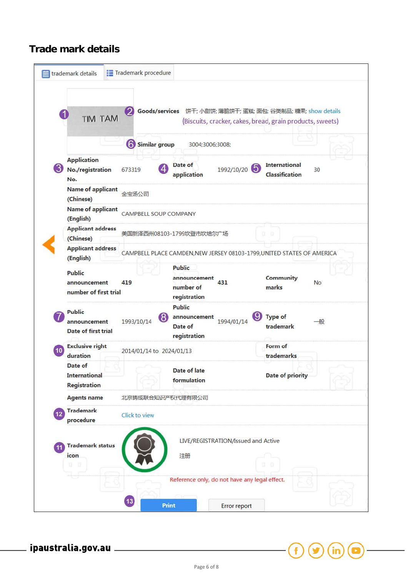# **Trade mark details**

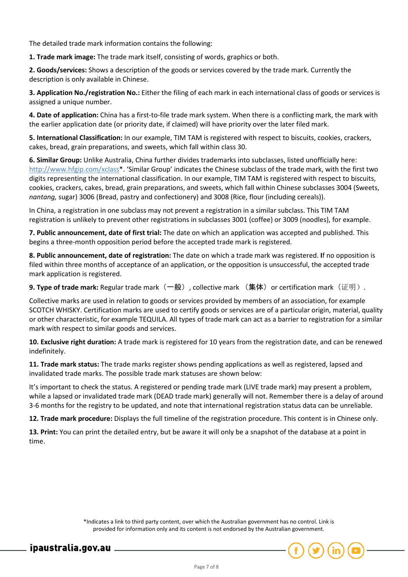The detailed trade mark information contains the following:

**1. Trade mark image:** The trade mark itself, consisting of words, graphics or both.

**2. Goods/services:** Shows a description of the goods or services covered by the trade mark. Currently the description is only available in Chinese.

**3. Application No./registration No.:** Either the filing of each mark in each international class of goods or services is assigned a unique number.

**4. Date of application:** China has a first-to-file trade mark system. When there is a conflicting mark, the mark with the earlier application date (or priority date, if claimed) will have priority over the later filed mark.

**5. International Classification:** In our example, TIM TAM is registered with respect to biscuits, cookies, crackers, cakes, bread, grain preparations, and sweets, which fall within class 30.

**6. Similar Group:** Unlike Australia, China further divides trademarks into subclasses, listed unofficially here: [http://www.hfgip.com/xclass\\*](http://www.hfgip.com/xclass). 'Similar Group' indicates the Chinese subclass of the trade mark, with the first two digits representing the international classification. In our example, TIM TAM is registered with respect to biscuits, cookies, crackers, cakes, bread, grain preparations, and sweets, which fall within Chinese subclasses 3004 (Sweets, *nantang,* sugar) 3006 (Bread, pastry and confectionery) and 3008 (Rice, flour (including cereals)).

In China, a registration in one subclass may not prevent a registration in a similar subclass. This TIM TAM registration is unlikely to prevent other registrations in subclasses 3001 (coffee) or 3009 (noodles), for example.

**7. Public announcement, date of first trial:** The date on which an application was accepted and published. This begins a three-month opposition period before the accepted trade mark is registered.

**8. Public announcement, date of registration:** The date on which a trade mark was registered. **I**f no opposition is filed within three months of acceptance of an application, or the opposition is unsuccessful, the accepted trade mark application is registered.

**9. Type of trade mark:** Regular trade mark(一般), collective mark (集体)or certification mark(证明).

Collective marks are used in relation to goods or services provided by members of an association, for example SCOTCH WHISKY. Certification marks are used to certify goods or services are of a particular origin, material, quality or other characteristic, for example TEQUILA. All types of trade mark can act as a barrier to registration for a similar mark with respect to similar goods and services.

**10. Exclusive right duration:** A trade mark is registered for 10 years from the registration date, and can be renewed indefinitely.

**11. Trade mark status:** The trade marks register shows pending applications as well as registered, lapsed and invalidated trade marks. The possible trade mark statuses are shown below:

It's important to check the status. A registered or pending trade mark (LIVE trade mark) may present a problem, while a lapsed or invalidated trade mark (DEAD trade mark) generally will not. Remember there is a delay of around 3-6 months for the registry to be updated, and note that international registration status data can be unreliable.

**12. Trade mark procedure:** Displays the full timeline of the registration procedure. This content is in Chinese only.

**13. Print:** You can print the detailed entry, but be aware it will only be a snapshot of the database at a point in time.

> \*Indicates a link to third party content, over which the Australian government has no control. Link is provided for information only and its content is not endorsed by the Australian government.